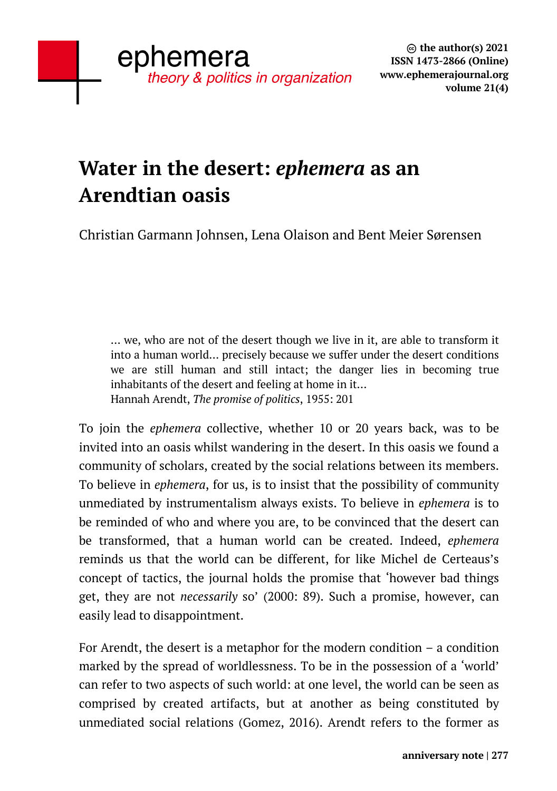# **Water in the desert:** *ephemera* **as an Arendtian oasis**

Christian Garmann Johnsen, Lena Olaison and Bent Meier Sørensen

… we, who are not of the desert though we live in it, are able to transform it into a human world… precisely because we suffer under the desert conditions we are still human and still intact; the danger lies in becoming true inhabitants of the desert and feeling at home in it… Hannah Arendt, *The promise of politics*, 1955: 201

To join the *ephemera* collective, whether 10 or 20 years back, was to be invited into an oasis whilst wandering in the desert. In this oasis we found a community of scholars, created by the social relations between its members. To believe in *ephemera*, for us, is to insist that the possibility of community unmediated by instrumentalism always exists. To believe in *ephemera* is to be reminded of who and where you are, to be convinced that the desert can be transformed, that a human world can be created. Indeed, *ephemera* reminds us that the world can be different, for like Michel de Certeaus's concept of tactics, the journal holds the promise that 'however bad things get, they are not *necessarily* so' (2000: 89). Such a promise, however, can easily lead to disappointment.

For Arendt, the desert is a metaphor for the modern condition – a condition marked by the spread of worldlessness. To be in the possession of a 'world' can refer to two aspects of such world: at one level, the world can be seen as comprised by created artifacts, but at another as being constituted by unmediated social relations (Gomez, 2016). Arendt refers to the former as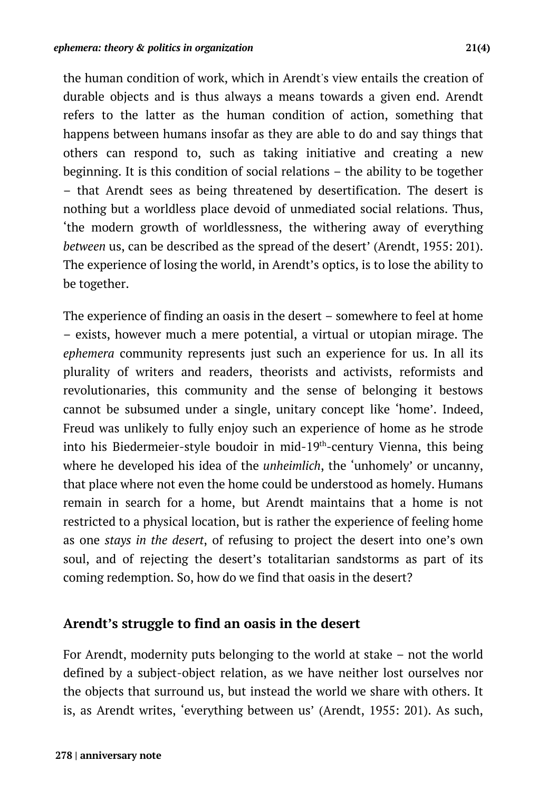the human condition of work, which in Arendt's view entails the creation of durable objects and is thus always a means towards a given end. Arendt refers to the latter as the human condition of action, something that happens between humans insofar as they are able to do and say things that others can respond to, such as taking initiative and creating a new beginning. It is this condition of social relations – the ability to be together – that Arendt sees as being threatened by desertification. The desert is nothing but a worldless place devoid of unmediated social relations. Thus, 'the modern growth of worldlessness, the withering away of everything *between* us, can be described as the spread of the desert' (Arendt, 1955: 201). The experience of losing the world, in Arendt's optics, is to lose the ability to be together.

The experience of finding an oasis in the desert – somewhere to feel at home – exists, however much a mere potential, a virtual or utopian mirage. The *ephemera* community represents just such an experience for us. In all its plurality of writers and readers, theorists and activists, reformists and revolutionaries, this community and the sense of belonging it bestows cannot be subsumed under a single, unitary concept like 'home'. Indeed, Freud was unlikely to fully enjoy such an experience of home as he strode into his Biedermeier-style boudoir in mid-19th-century Vienna, this being where he developed his idea of the *unheimlich*, the 'unhomely' or uncanny, that place where not even the home could be understood as homely. Humans remain in search for a home, but Arendt maintains that a home is not restricted to a physical location, but is rather the experience of feeling home as one *stays in the desert*, of refusing to project the desert into one's own soul, and of rejecting the desert's totalitarian sandstorms as part of its coming redemption. So, how do we find that oasis in the desert?

## **Arendt's struggle to find an oasis in the desert**

For Arendt, modernity puts belonging to the world at stake – not the world defined by a subject-object relation, as we have neither lost ourselves nor the objects that surround us, but instead the world we share with others. It is, as Arendt writes, 'everything between us' (Arendt, 1955: 201). As such,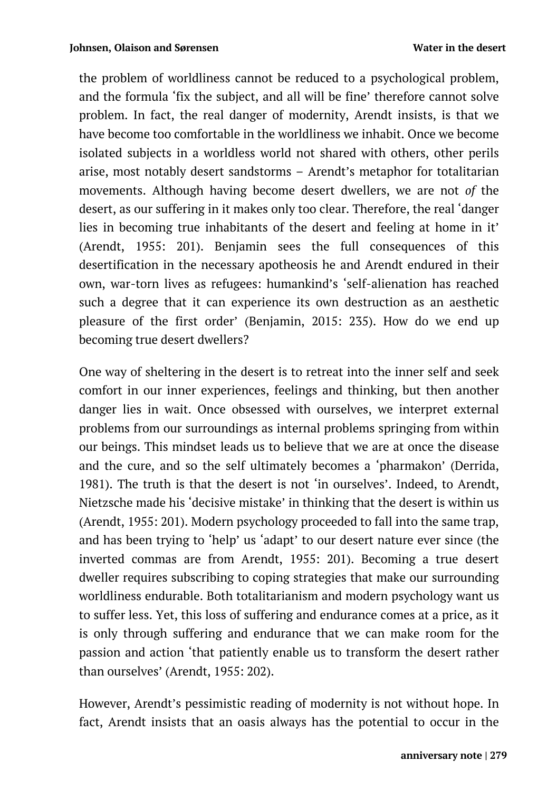the problem of worldliness cannot be reduced to a psychological problem, and the formula 'fix the subject, and all will be fine' therefore cannot solve problem. In fact, the real danger of modernity, Arendt insists, is that we have become too comfortable in the worldliness we inhabit. Once we become isolated subjects in a worldless world not shared with others, other perils arise, most notably desert sandstorms – Arendt's metaphor for totalitarian movements. Although having become desert dwellers, we are not *of* the desert, as our suffering in it makes only too clear. Therefore, the real 'danger lies in becoming true inhabitants of the desert and feeling at home in it' (Arendt, 1955: 201). Benjamin sees the full consequences of this desertification in the necessary apotheosis he and Arendt endured in their own, war-torn lives as refugees: humankind's 'self-alienation has reached such a degree that it can experience its own destruction as an aesthetic pleasure of the first order' (Benjamin, 2015: 235). How do we end up becoming true desert dwellers?

One way of sheltering in the desert is to retreat into the inner self and seek comfort in our inner experiences, feelings and thinking, but then another danger lies in wait. Once obsessed with ourselves, we interpret external problems from our surroundings as internal problems springing from within our beings. This mindset leads us to believe that we are at once the disease and the cure, and so the self ultimately becomes a 'pharmakon' (Derrida, 1981). The truth is that the desert is not 'in ourselves'. Indeed, to Arendt, Nietzsche made his 'decisive mistake' in thinking that the desert is within us (Arendt, 1955: 201). Modern psychology proceeded to fall into the same trap, and has been trying to 'help' us 'adapt' to our desert nature ever since (the inverted commas are from Arendt, 1955: 201). Becoming a true desert dweller requires subscribing to coping strategies that make our surrounding worldliness endurable. Both totalitarianism and modern psychology want us to suffer less. Yet, this loss of suffering and endurance comes at a price, as it is only through suffering and endurance that we can make room for the passion and action 'that patiently enable us to transform the desert rather than ourselves' (Arendt, 1955: 202).

However, Arendt's pessimistic reading of modernity is not without hope. In fact, Arendt insists that an oasis always has the potential to occur in the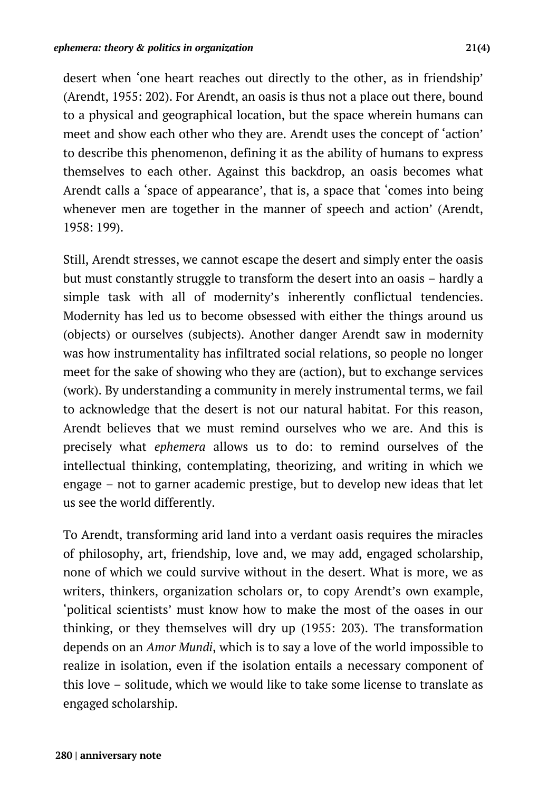desert when 'one heart reaches out directly to the other, as in friendship' (Arendt, 1955: 202). For Arendt, an oasis is thus not a place out there, bound to a physical and geographical location, but the space wherein humans can meet and show each other who they are. Arendt uses the concept of 'action' to describe this phenomenon, defining it as the ability of humans to express themselves to each other. Against this backdrop, an oasis becomes what Arendt calls a 'space of appearance', that is, a space that 'comes into being whenever men are together in the manner of speech and action' (Arendt, 1958: 199).

Still, Arendt stresses, we cannot escape the desert and simply enter the oasis but must constantly struggle to transform the desert into an oasis – hardly a simple task with all of modernity's inherently conflictual tendencies. Modernity has led us to become obsessed with either the things around us (objects) or ourselves (subjects). Another danger Arendt saw in modernity was how instrumentality has infiltrated social relations, so people no longer meet for the sake of showing who they are (action), but to exchange services (work). By understanding a community in merely instrumental terms, we fail to acknowledge that the desert is not our natural habitat. For this reason, Arendt believes that we must remind ourselves who we are. And this is precisely what *ephemera* allows us to do: to remind ourselves of the intellectual thinking, contemplating, theorizing, and writing in which we engage – not to garner academic prestige, but to develop new ideas that let us see the world differently.

To Arendt, transforming arid land into a verdant oasis requires the miracles of philosophy, art, friendship, love and, we may add, engaged scholarship, none of which we could survive without in the desert. What is more, we as writers, thinkers, organization scholars or, to copy Arendt's own example, 'political scientists' must know how to make the most of the oases in our thinking, or they themselves will dry up (1955: 203). The transformation depends on an *Amor Mundi*, which is to say a love of the world impossible to realize in isolation, even if the isolation entails a necessary component of this love – solitude, which we would like to take some license to translate as engaged scholarship.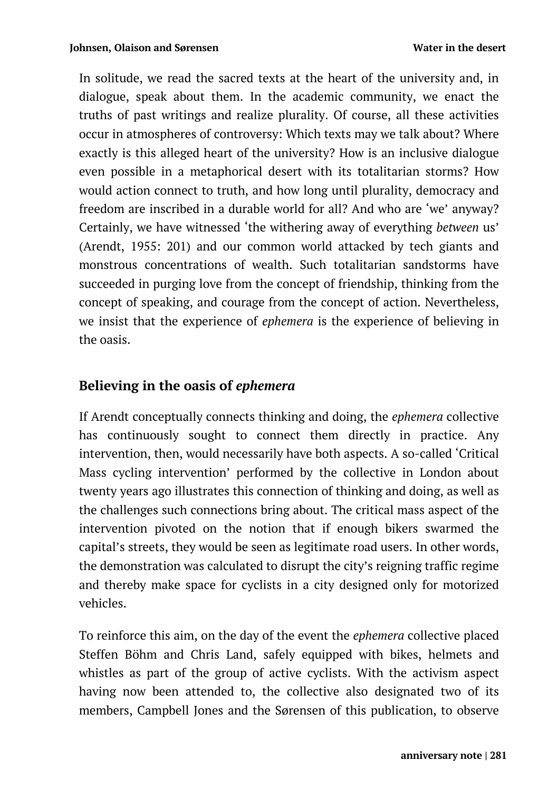In solitude, we read the sacred texts at the heart of the university and, in dialogue, speak about them. In the academic community, we enact the truths of past writings and realize plurality. Of course, all these activities occur in atmospheres of controversy: Which texts may we talk about? Where exactly is this alleged heart of the university? How is an inclusive dialogue even possible in a metaphorical desert with its totalitarian storms? How would action connect to truth, and how long until plurality, democracy and freedom are inscribed in a durable world for all? And who are 'we' anyway? Certainly, we have witnessed 'the withering away of everything *between* us' (Arendt, 1955: 201) and our common world attacked by tech giants and monstrous concentrations of wealth. Such totalitarian sandstorms have succeeded in purging love from the concept of friendship, thinking from the concept of speaking, and courage from the concept of action. Nevertheless, we insist that the experience of *ephemera* is the experience of believing in the oasis.

## **Believing in the oasis of** *ephemera*

If Arendt conceptually connects thinking and doing, the *ephemera* collective has continuously sought to connect them directly in practice. Any intervention, then, would necessarily have both aspects. A so-called 'Critical Mass cycling intervention' performed by the collective in London about twenty years ago illustrates this connection of thinking and doing, as well as the challenges such connections bring about. The critical mass aspect of the intervention pivoted on the notion that if enough bikers swarmed the capital's streets, they would be seen as legitimate road users. In other words, the demonstration was calculated to disrupt the city's reigning traffic regime and thereby make space for cyclists in a city designed only for motorized vehicles.

To reinforce this aim, on the day of the event the *ephemera* collective placed Steffen Böhm and Chris Land, safely equipped with bikes, helmets and whistles as part of the group of active cyclists. With the activism aspect having now been attended to, the collective also designated two of its members, Campbell Jones and the Sørensen of this publication, to observe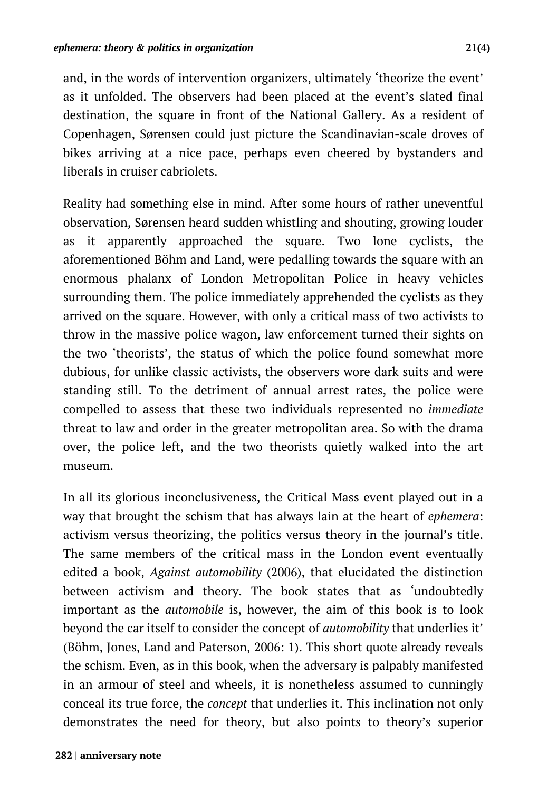and, in the words of intervention organizers, ultimately 'theorize the event' as it unfolded. The observers had been placed at the event's slated final destination, the square in front of the National Gallery. As a resident of Copenhagen, Sørensen could just picture the Scandinavian-scale droves of bikes arriving at a nice pace, perhaps even cheered by bystanders and liberals in cruiser cabriolets.

Reality had something else in mind. After some hours of rather uneventful observation, Sørensen heard sudden whistling and shouting, growing louder as it apparently approached the square. Two lone cyclists, the aforementioned Böhm and Land, were pedalling towards the square with an enormous phalanx of London Metropolitan Police in heavy vehicles surrounding them. The police immediately apprehended the cyclists as they arrived on the square. However, with only a critical mass of two activists to throw in the massive police wagon, law enforcement turned their sights on the two 'theorists', the status of which the police found somewhat more dubious, for unlike classic activists, the observers wore dark suits and were standing still. To the detriment of annual arrest rates, the police were compelled to assess that these two individuals represented no *immediate*  threat to law and order in the greater metropolitan area. So with the drama over, the police left, and the two theorists quietly walked into the art museum.

In all its glorious inconclusiveness, the Critical Mass event played out in a way that brought the schism that has always lain at the heart of *ephemera*: activism versus theorizing, the politics versus theory in the journal's title. The same members of the critical mass in the London event eventually edited a book, *Against automobility* (2006), that elucidated the distinction between activism and theory. The book states that as 'undoubtedly important as the *automobile* is, however, the aim of this book is to look beyond the car itself to consider the concept of *automobility* that underlies it' (Böhm, Jones, Land and Paterson, 2006: 1). This short quote already reveals the schism. Even, as in this book, when the adversary is palpably manifested in an armour of steel and wheels, it is nonetheless assumed to cunningly conceal its true force, the *concept* that underlies it. This inclination not only demonstrates the need for theory, but also points to theory's superior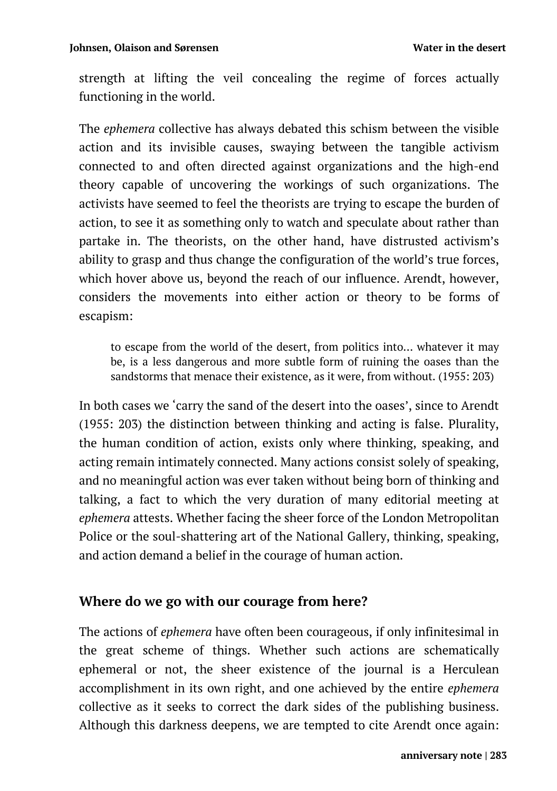strength at lifting the veil concealing the regime of forces actually functioning in the world.

The *ephemera* collective has always debated this schism between the visible action and its invisible causes, swaying between the tangible activism connected to and often directed against organizations and the high-end theory capable of uncovering the workings of such organizations. The activists have seemed to feel the theorists are trying to escape the burden of action, to see it as something only to watch and speculate about rather than partake in. The theorists, on the other hand, have distrusted activism's ability to grasp and thus change the configuration of the world's true forces, which hover above us, beyond the reach of our influence. Arendt, however, considers the movements into either action or theory to be forms of escapism:

to escape from the world of the desert, from politics into… whatever it may be, is a less dangerous and more subtle form of ruining the oases than the sandstorms that menace their existence, as it were, from without. (1955: 203)

In both cases we 'carry the sand of the desert into the oases', since to Arendt (1955: 203) the distinction between thinking and acting is false. Plurality, the human condition of action, exists only where thinking, speaking, and acting remain intimately connected. Many actions consist solely of speaking, and no meaningful action was ever taken without being born of thinking and talking, a fact to which the very duration of many editorial meeting at *ephemera* attests. Whether facing the sheer force of the London Metropolitan Police or the soul-shattering art of the National Gallery, thinking, speaking, and action demand a belief in the courage of human action.

## **Where do we go with our courage from here?**

The actions of *ephemera* have often been courageous, if only infinitesimal in the great scheme of things. Whether such actions are schematically ephemeral or not, the sheer existence of the journal is a Herculean accomplishment in its own right, and one achieved by the entire *ephemera* collective as it seeks to correct the dark sides of the publishing business. Although this darkness deepens, we are tempted to cite Arendt once again: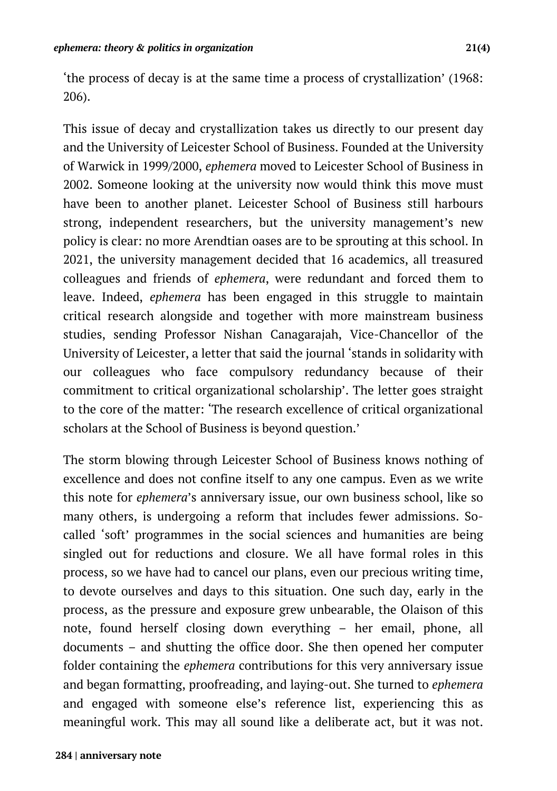'the process of decay is at the same time a process of crystallization' (1968: 206).

This issue of decay and crystallization takes us directly to our present day and the University of Leicester School of Business. Founded at the University of Warwick in 1999/2000, *ephemera* moved to Leicester School of Business in 2002. Someone looking at the university now would think this move must have been to another planet. Leicester School of Business still harbours strong, independent researchers, but the university management's new policy is clear: no more Arendtian oases are to be sprouting at this school. In 2021, the university management decided that 16 academics, all treasured colleagues and friends of *ephemera*, were redundant and forced them to leave. Indeed, *ephemera* has been engaged in this struggle to maintain critical research alongside and together with more mainstream business studies, sending Professor Nishan Canagarajah, Vice-Chancellor of the University of Leicester, a letter that said the journal 'stands in solidarity with our colleagues who face compulsory redundancy because of their commitment to critical organizational scholarship'. The letter goes straight to the core of the matter: 'The research excellence of critical organizational scholars at the School of Business is beyond question.'

The storm blowing through Leicester School of Business knows nothing of excellence and does not confine itself to any one campus. Even as we write this note for *ephemera*'s anniversary issue, our own business school, like so many others, is undergoing a reform that includes fewer admissions. Socalled 'soft' programmes in the social sciences and humanities are being singled out for reductions and closure. We all have formal roles in this process, so we have had to cancel our plans, even our precious writing time, to devote ourselves and days to this situation. One such day, early in the process, as the pressure and exposure grew unbearable, the Olaison of this note, found herself closing down everything – her email, phone, all documents – and shutting the office door. She then opened her computer folder containing the *ephemera* contributions for this very anniversary issue and began formatting, proofreading, and laying-out. She turned to *ephemera* and engaged with someone else's reference list, experiencing this as meaningful work. This may all sound like a deliberate act, but it was not.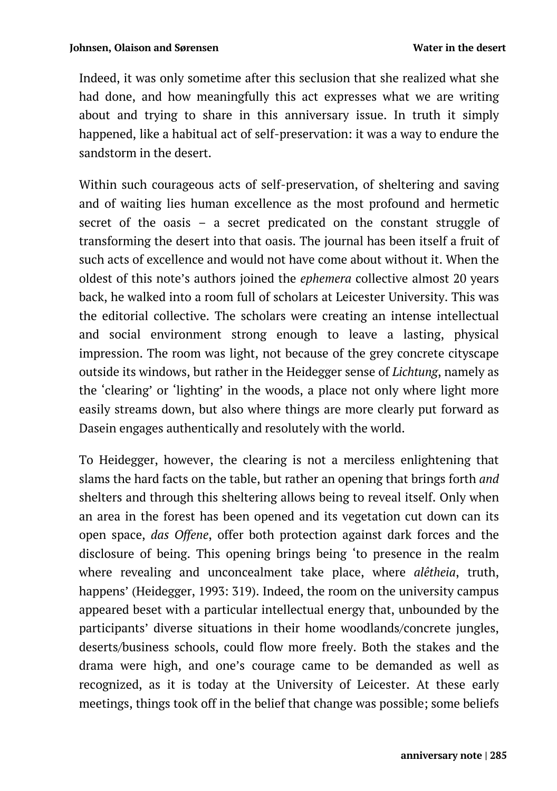Indeed, it was only sometime after this seclusion that she realized what she had done, and how meaningfully this act expresses what we are writing about and trying to share in this anniversary issue. In truth it simply happened, like a habitual act of self-preservation: it was a way to endure the sandstorm in the desert.

Within such courageous acts of self-preservation, of sheltering and saving and of waiting lies human excellence as the most profound and hermetic secret of the oasis – a secret predicated on the constant struggle of transforming the desert into that oasis. The journal has been itself a fruit of such acts of excellence and would not have come about without it. When the oldest of this note's authors joined the *ephemera* collective almost 20 years back, he walked into a room full of scholars at Leicester University. This was the editorial collective. The scholars were creating an intense intellectual and social environment strong enough to leave a lasting, physical impression. The room was light, not because of the grey concrete cityscape outside its windows, but rather in the Heidegger sense of *Lichtung*, namely as the 'clearing' or 'lighting' in the woods, a place not only where light more easily streams down, but also where things are more clearly put forward as Dasein engages authentically and resolutely with the world.

To Heidegger, however, the clearing is not a merciless enlightening that slams the hard facts on the table, but rather an opening that brings forth *and* shelters and through this sheltering allows being to reveal itself. Only when an area in the forest has been opened and its vegetation cut down can its open space, *das Offene*, offer both protection against dark forces and the disclosure of being. This opening brings being 'to presence in the realm where revealing and unconcealment take place, where *alêtheia*, truth, happens' (Heidegger, 1993: 319). Indeed, the room on the university campus appeared beset with a particular intellectual energy that, unbounded by the participants' diverse situations in their home woodlands/concrete jungles, deserts/business schools, could flow more freely. Both the stakes and the drama were high, and one's courage came to be demanded as well as recognized, as it is today at the University of Leicester. At these early meetings, things took off in the belief that change was possible; some beliefs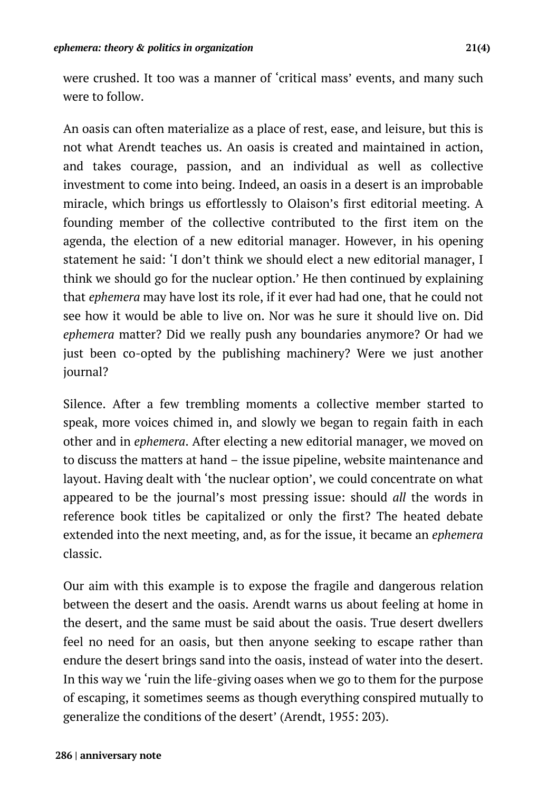were crushed. It too was a manner of 'critical mass' events, and many such were to follow.

An oasis can often materialize as a place of rest, ease, and leisure, but this is not what Arendt teaches us. An oasis is created and maintained in action, and takes courage, passion, and an individual as well as collective investment to come into being. Indeed, an oasis in a desert is an improbable miracle, which brings us effortlessly to Olaison's first editorial meeting. A founding member of the collective contributed to the first item on the agenda, the election of a new editorial manager. However, in his opening statement he said: 'I don't think we should elect a new editorial manager, I think we should go for the nuclear option.' He then continued by explaining that *ephemera* may have lost its role, if it ever had had one, that he could not see how it would be able to live on. Nor was he sure it should live on. Did *ephemera* matter? Did we really push any boundaries anymore? Or had we just been co-opted by the publishing machinery? Were we just another journal?

Silence. After a few trembling moments a collective member started to speak, more voices chimed in, and slowly we began to regain faith in each other and in *ephemera*. After electing a new editorial manager, we moved on to discuss the matters at hand – the issue pipeline, website maintenance and layout. Having dealt with 'the nuclear option', we could concentrate on what appeared to be the journal's most pressing issue: should *all* the words in reference book titles be capitalized or only the first? The heated debate extended into the next meeting, and, as for the issue, it became an *ephemera*  classic.

Our aim with this example is to expose the fragile and dangerous relation between the desert and the oasis. Arendt warns us about feeling at home in the desert, and the same must be said about the oasis. True desert dwellers feel no need for an oasis, but then anyone seeking to escape rather than endure the desert brings sand into the oasis, instead of water into the desert. In this way we 'ruin the life-giving oases when we go to them for the purpose of escaping, it sometimes seems as though everything conspired mutually to generalize the conditions of the desert' (Arendt, 1955: 203).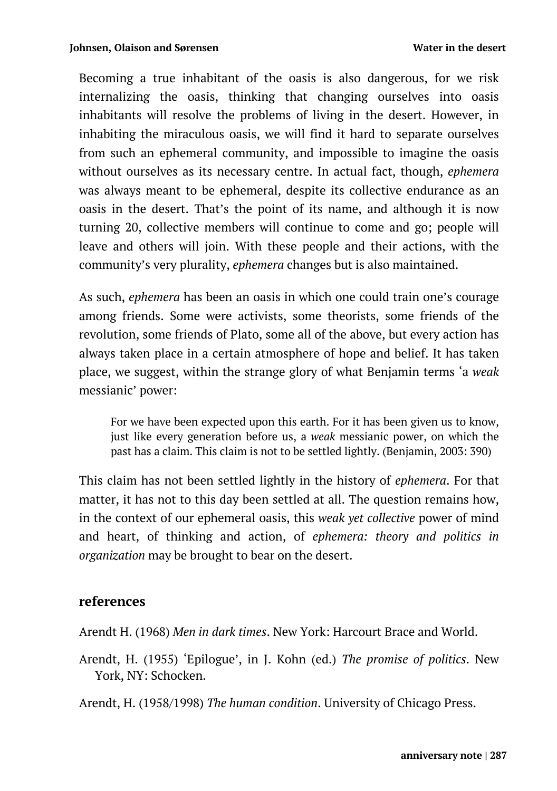Becoming a true inhabitant of the oasis is also dangerous, for we risk internalizing the oasis, thinking that changing ourselves into oasis inhabitants will resolve the problems of living in the desert. However, in inhabiting the miraculous oasis, we will find it hard to separate ourselves from such an ephemeral community, and impossible to imagine the oasis without ourselves as its necessary centre. In actual fact, though, *ephemera*  was always meant to be ephemeral, despite its collective endurance as an oasis in the desert. That's the point of its name, and although it is now turning 20, collective members will continue to come and go; people will leave and others will join. With these people and their actions, with the community's very plurality, *ephemera* changes but is also maintained.

As such, *ephemera* has been an oasis in which one could train one's courage among friends. Some were activists, some theorists, some friends of the revolution, some friends of Plato, some all of the above, but every action has always taken place in a certain atmosphere of hope and belief. It has taken place, we suggest, within the strange glory of what Benjamin terms 'a *weak* messianic' power:

For we have been expected upon this earth. For it has been given us to know, just like every generation before us, a *weak* messianic power, on which the past has a claim. This claim is not to be settled lightly. (Benjamin, 2003: 390)

This claim has not been settled lightly in the history of *ephemera*. For that matter, it has not to this day been settled at all. The question remains how, in the context of our ephemeral oasis, this *weak yet collective* power of mind and heart, of thinking and action, of *ephemera: theory and politics in organization* may be brought to bear on the desert.

#### **references**

Arendt H. (1968) *Men in dark times*. New York: Harcourt Brace and World.

Arendt, H. (1955) 'Epilogue', in J. Kohn (ed.) *The promise of politics*. New York, NY: Schocken.

Arendt, H. (1958/1998) *The human condition*. University of Chicago Press.